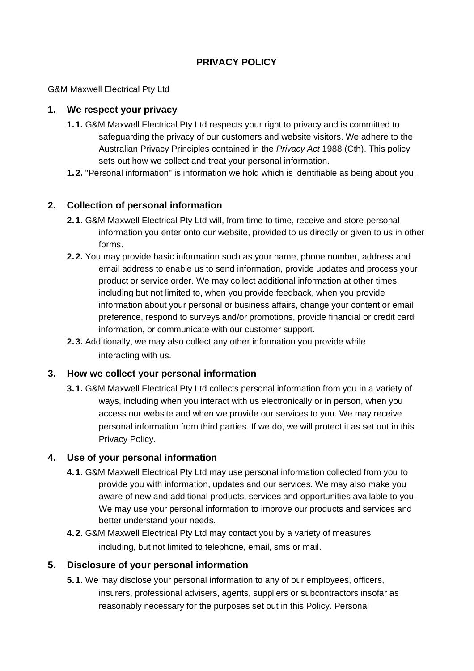# **PRIVACY POLICY**

#### G&M Maxwell Electrical Pty Ltd

### **1. We respect your privacy**

- **1.1.** G&M Maxwell Electrical Pty Ltd respects your right to privacy and is committed to safeguarding the privacy of our customers and website visitors. We adhere to the Australian Privacy Principles contained in the *Privacy Act* 1988 (Cth). This policy sets out how we collect and treat your personal information.
- **1.2.** "Personal information" is information we hold which is identifiable as being about you.

## **2. Collection of personal information**

- **2.1.** G&M Maxwell Electrical Pty Ltd will, from time to time, receive and store personal information you enter onto our website, provided to us directly or given to us in other forms.
- **2.2.** You may provide basic information such as your name, phone number, address and email address to enable us to send information, provide updates and process your product or service order. We may collect additional information at other times, including but not limited to, when you provide feedback, when you provide information about your personal or business affairs, change your content or email preference, respond to surveys and/or promotions, provide financial or credit card information, or communicate with our customer support.
- **2.3.** Additionally, we may also collect any other information you provide while interacting with us.

### **3. How we collect your personal information**

**3.1.** G&M Maxwell Electrical Pty Ltd collects personal information from you in a variety of ways, including when you interact with us electronically or in person, when you access our website and when we provide our services to you. We may receive personal information from third parties. If we do, we will protect it as set out in this Privacy Policy.

### **4. Use of your personal information**

- **4.1.** G&M Maxwell Electrical Pty Ltd may use personal information collected from you to provide you with information, updates and our services. We may also make you aware of new and additional products, services and opportunities available to you. We may use your personal information to improve our products and services and better understand your needs.
- **4.2.** G&M Maxwell Electrical Pty Ltd may contact you by a variety of measures including, but not limited to telephone, email, sms or mail.

### **5. Disclosure of your personal information**

**5.1.** We may disclose your personal information to any of our employees, officers, insurers, professional advisers, agents, suppliers or subcontractors insofar as reasonably necessary for the purposes set out in this Policy. Personal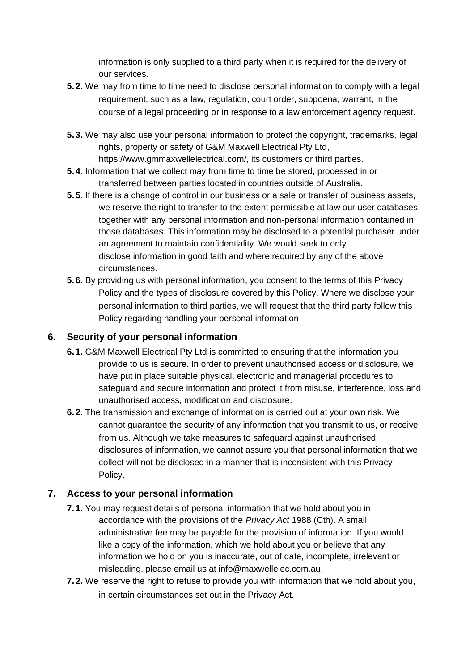information is only supplied to a third party when it is required for the delivery of our services.

- **5.2.** We may from time to time need to disclose personal information to comply with a legal requirement, such as a law, regulation, court order, subpoena, warrant, in the course of a legal proceeding or in response to a law enforcement agency request.
- **5.3.** We may also use your personal information to protect the copyright, trademarks, legal rights, property or safety of G&M Maxwell Electrical Pty Ltd, https://www.gmmaxwellelectrical.com/, its customers or third parties.
- **5.4.** Information that we collect may from time to time be stored, processed in or transferred between parties located in countries outside of Australia.
- **5.5.** If there is a change of control in our business or a sale or transfer of business assets, we reserve the right to transfer to the extent permissible at law our user databases, together with any personal information and non-personal information contained in those databases. This information may be disclosed to a potential purchaser under an agreement to maintain confidentiality. We would seek to only disclose information in good faith and where required by any of the above circumstances.
- **5.6.** By providing us with personal information, you consent to the terms of this Privacy Policy and the types of disclosure covered by this Policy. Where we disclose your personal information to third parties, we will request that the third party follow this Policy regarding handling your personal information.

### **6. Security of your personal information**

- **6.1.** G&M Maxwell Electrical Pty Ltd is committed to ensuring that the information you provide to us is secure. In order to prevent unauthorised access or disclosure, we have put in place suitable physical, electronic and managerial procedures to safeguard and secure information and protect it from misuse, interference, loss and unauthorised access, modification and disclosure.
- **6.2.** The transmission and exchange of information is carried out at your own risk. We cannot guarantee the security of any information that you transmit to us, or receive from us. Although we take measures to safeguard against unauthorised disclosures of information, we cannot assure you that personal information that we collect will not be disclosed in a manner that is inconsistent with this Privacy Policy.

## **7. Access to your personal information**

- **7.1.** You may request details of personal information that we hold about you in accordance with the provisions of the *Privacy Act* 1988 (Cth). A small administrative fee may be payable for the provision of information. If you would like a copy of the information, which we hold about you or believe that any information we hold on you is inaccurate, out of date, incomplete, irrelevant or misleading, please email us at info@maxwellelec.com.au.
- **7.2.** We reserve the right to refuse to provide you with information that we hold about you, in certain circumstances set out in the Privacy Act.